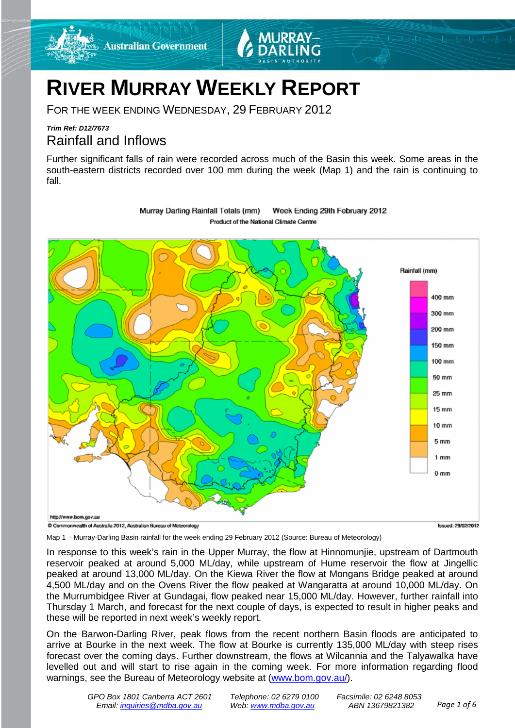

FOR THE WEEK ENDING WEDNESDAY, 29 FEBRUARY 2012

**Australian Government** 

# *Trim Ref: D12/7673* Rainfall and Inflows

Further significant falls of rain were recorded across much of the Basin this week. Some areas in the south-eastern districts recorded over 100 mm during the week (Map 1) and the rain is continuing to fall.



Murray Darling Rainfall Totals (mm) Week Ending 29th February 2012 Product of the National Climate Centre

Map 1 – Murray-Darling Basin rainfall for the week ending 29 February 2012 (Source: Bureau of Meteorology)

In response to this week's rain in the Upper Murray, the flow at Hinnomunjie, upstream of Dartmouth reservoir peaked at around 5,000 ML/day, while upstream of Hume reservoir the flow at Jingellic peaked at around 13,000 ML/day. On the Kiewa River the flow at Mongans Bridge peaked at around 4,500 ML/day and on the Ovens River the flow peaked at Wangaratta at around 10,000 ML/day. On the Murrumbidgee River at Gundagai, flow peaked near 15,000 ML/day. However, further rainfall into Thursday 1 March, and forecast for the next couple of days, is expected to result in higher peaks and these will be reported in next week's weekly report.

On the Barwon-Darling River, peak flows from the recent northern Basin floods are anticipated to arrive at Bourke in the next week. The flow at Bourke is currently 135,000 ML/day with steep rises forecast over the coming days. Further downstream, the flows at Wilcannia and the Talyawalka have levelled out and will start to rise again in the coming week. For more information regarding flood warnings, see the Bureau of Meteorology website at (www.bom.gov.au/).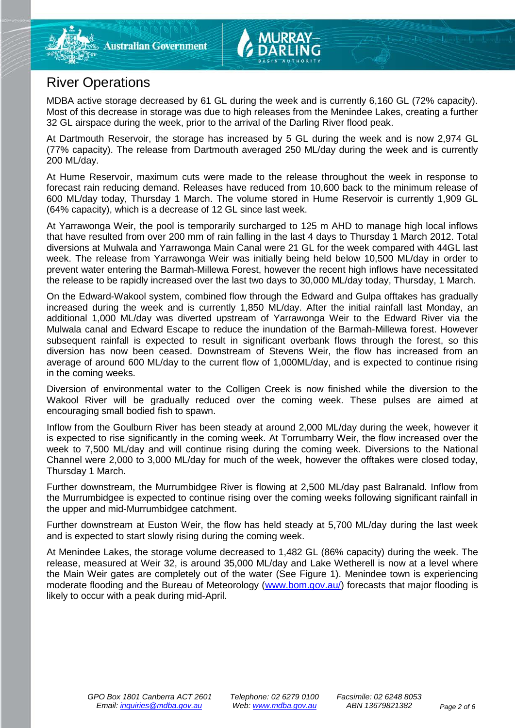# River Operations

MDBA active storage decreased by 61 GL during the week and is currently 6,160 GL (72% capacity). Most of this decrease in storage was due to high releases from the Menindee Lakes, creating a further 32 GL airspace during the week, prior to the arrival of the Darling River flood peak.

At Dartmouth Reservoir, the storage has increased by 5 GL during the week and is now 2,974 GL (77% capacity). The release from Dartmouth averaged 250 ML/day during the week and is currently 200 ML/day.

At Hume Reservoir, maximum cuts were made to the release throughout the week in response to forecast rain reducing demand. Releases have reduced from 10,600 back to the minimum release of 600 ML/day today, Thursday 1 March. The volume stored in Hume Reservoir is currently 1,909 GL (64% capacity), which is a decrease of 12 GL since last week.

At Yarrawonga Weir, the pool is temporarily surcharged to 125 m AHD to manage high local inflows that have resulted from over 200 mm of rain falling in the last 4 days to Thursday 1 March 2012. Total diversions at Mulwala and Yarrawonga Main Canal were 21 GL for the week compared with 44GL last week. The release from Yarrawonga Weir was initially being held below 10,500 ML/day in order to prevent water entering the Barmah-Millewa Forest, however the recent high inflows have necessitated the release to be rapidly increased over the last two days to 30,000 ML/day today, Thursday, 1 March.

On the Edward-Wakool system, combined flow through the Edward and Gulpa offtakes has gradually increased during the week and is currently 1,850 ML/day. After the initial rainfall last Monday, an additional 1,000 ML/day was diverted upstream of Yarrawonga Weir to the Edward River via the Mulwala canal and Edward Escape to reduce the inundation of the Barmah-Millewa forest. However subsequent rainfall is expected to result in significant overbank flows through the forest, so this diversion has now been ceased. Downstream of Stevens Weir, the flow has increased from an average of around 600 ML/day to the current flow of 1,000ML/day, and is expected to continue rising in the coming weeks.

Diversion of environmental water to the Colligen Creek is now finished while the diversion to the Wakool River will be gradually reduced over the coming week. These pulses are aimed at encouraging small bodied fish to spawn.

Inflow from the Goulburn River has been steady at around 2,000 ML/day during the week, however it is expected to rise significantly in the coming week. At Torrumbarry Weir, the flow increased over the week to 7,500 ML/day and will continue rising during the coming week. Diversions to the National Channel were 2,000 to 3,000 ML/day for much of the week, however the offtakes were closed today, Thursday 1 March.

Further downstream, the Murrumbidgee River is flowing at 2,500 ML/day past Balranald. Inflow from the Murrumbidgee is expected to continue rising over the coming weeks following significant rainfall in the upper and mid-Murrumbidgee catchment.

Further downstream at Euston Weir, the flow has held steady at 5,700 ML/day during the last week and is expected to start slowly rising during the coming week.

At Menindee Lakes, the storage volume decreased to 1,482 GL (86% capacity) during the week. The release, measured at Weir 32, is around 35,000 ML/day and Lake Wetherell is now at a level where the Main Weir gates are completely out of the water (See Figure 1). Menindee town is experiencing moderate flooding and the Bureau of Meteorology (www.bom.gov.au/) forecasts that major flooding is likely to occur with a peak during mid-April.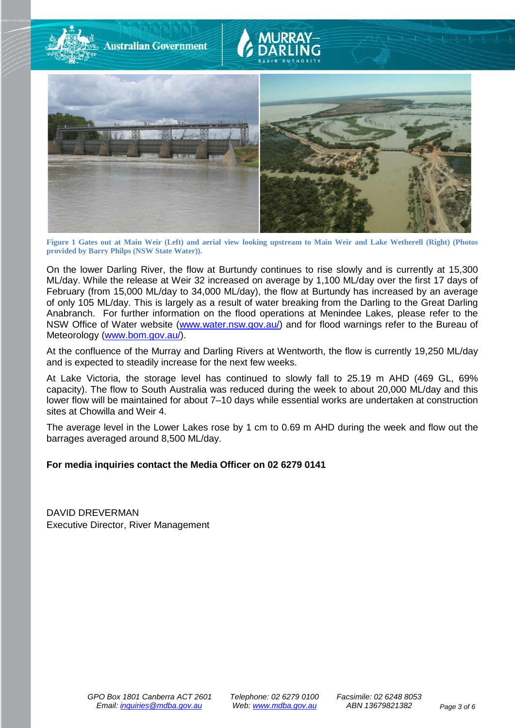

**Figure 1 Gates out at Main Weir (Left) and aerial view looking upstream to Main Weir and Lake Wetherell (Right) (Photos provided by Barry Philps (NSW State Water)).**

On the lower Darling River, the flow at Burtundy continues to rise slowly and is currently at 15,300 ML/day. While the release at Weir 32 increased on average by 1,100 ML/day over the first 17 days of February (from 15,000 ML/day to 34,000 ML/day), the flow at Burtundy has increased by an average of only 105 ML/day. This is largely as a result of water breaking from the Darling to the Great Darling Anabranch. For further information on the flood operations at Menindee Lakes, please refer to the NSW Office of Water website (www.water.nsw.gov.au/) and for flood warnings refer to the Bureau of Meteorology (www.bom.gov.au/).

At the confluence of the Murray and Darling Rivers at Wentworth, the flow is currently 19,250 ML/day and is expected to steadily increase for the next few weeks.

At Lake Victoria, the storage level has continued to slowly fall to 25.19 m AHD (469 GL, 69% capacity). The flow to South Australia was reduced during the week to about 20,000 ML/day and this lower flow will be maintained for about 7–10 days while essential works are undertaken at construction sites at Chowilla and Weir 4.

The average level in the Lower Lakes rose by 1 cm to 0.69 m AHD during the week and flow out the barrages averaged around 8,500 ML/day.

# **For media inquiries contact the Media Officer on 02 6279 0141**

DAVID DREVERMAN Executive Director, River Management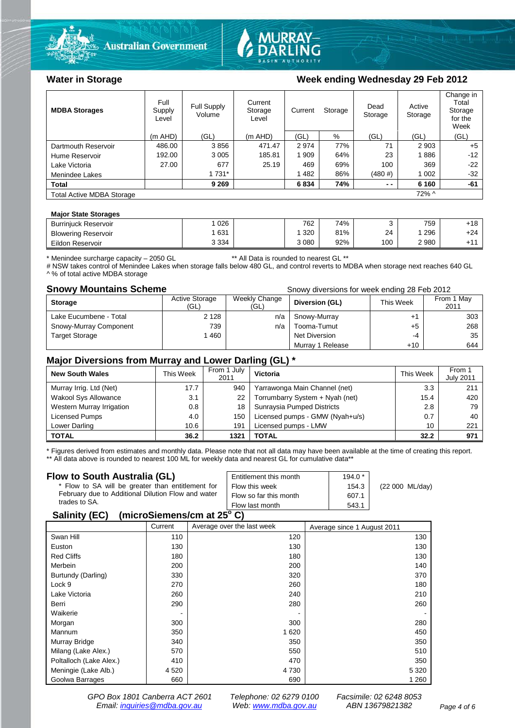



# Water in Storage Week ending Wednesday 29 Feb 2012

| <b>MDBA Storages</b>             | Full<br>Supply<br>Level | <b>Full Supply</b><br>Volume | Current<br>Current<br>Storage<br>Level |       | Storage |        | Active<br>Storage | Change in<br>Total<br>Storage<br>for the<br>Week |
|----------------------------------|-------------------------|------------------------------|----------------------------------------|-------|---------|--------|-------------------|--------------------------------------------------|
|                                  | $(m$ AHD)               | (GL)                         | $(m$ AHD)                              | (GL)  | %       | (GL)   | (GL)              | (GL)                                             |
| Dartmouth Reservoir              | 486.00                  | 3856                         | 471.47                                 | 2974  | 77%     | 71     | 2 9 0 3           | $+5$                                             |
| Hume Reservoir                   | 192.00                  | 3 0 0 5                      | 185.81                                 | 1 909 | 64%     | 23     | 1886              | $-12$                                            |
| Lake Victoria                    | 27.00                   | 677                          | 25.19                                  | 469   | 69%     | 100    | 369               | $-22$                                            |
| Menindee Lakes                   |                         | 1 7 3 1 *                    |                                        | 1482  | 86%     | (480#) | 1 0 0 2           | $-32$                                            |
| <b>Total</b>                     |                         | 9 2 6 9                      |                                        | 6834  | 74%     | $ -$   | 6 1 6 0           | -61                                              |
| <b>Total Active MDBA Storage</b> | $72\%$ ^                |                              |                                        |       |         |        |                   |                                                  |

#### **Major State Storages**

| <b>Burriniuck Reservoir</b> | 026     | 762     | 74% |     | 759  | +18 |
|-----------------------------|---------|---------|-----|-----|------|-----|
| <b>Blowering Reservoir</b>  | 631     | 320     | 81% | 24  | 296  | +24 |
| Eildon Reservoir            | 3 3 3 4 | 3 0 8 0 | 92% | 100 | 2980 | .44 |

\* Menindee surcharge capacity – 2050 GL \*\* All Data is rounded to nearest GL \*\*

# NSW takes control of Menindee Lakes when storage falls below 480 GL, and control reverts to MDBA when storage next reaches 640 GL ^ % of total active MDBA storage

**Snowy Mountains Scheme Snowy diversions for week ending 28 Feb 2012** 

| <b>Storage</b>         | <b>Active Storage</b><br>(GL) | Weekly Change<br>(GL) | Diversion (GL)   | This Week | From 1 May<br>2011 |
|------------------------|-------------------------------|-----------------------|------------------|-----------|--------------------|
| Lake Eucumbene - Total | 2 1 2 8                       | n/a                   | Snowy-Murray     |           | 303                |
| Snowy-Murray Component | 739                           | n/a                   | Tooma-Tumut      | +5        | 268                |
| <b>Target Storage</b>  | 1460                          |                       | Net Diversion    | -4        | 35                 |
|                        |                               |                       | Murray 1 Release | +10       | 644                |

## **Major Diversions from Murray and Lower Darling (GL) \***

| <b>New South Wales</b>    | This Week | From 1 July<br>2011 | <b>Victoria</b>                 | This Week | From 1<br><b>July 2011</b> |
|---------------------------|-----------|---------------------|---------------------------------|-----------|----------------------------|
| Murray Irrig. Ltd (Net)   | 17.7      | 940                 | Yarrawonga Main Channel (net)   | 3.3       | 211                        |
| Wakool Sys Allowance      | 3.1       | 22                  | Torrumbarry System + Nyah (net) | 15.4      | 420                        |
| Western Murray Irrigation | 0.8       | 18                  | Sunraysia Pumped Districts      | 2.8       | 79                         |
| Licensed Pumps            | 4.0       | 150                 | Licensed pumps - GMW (Nyah+u/s) | 0.7       | 40                         |
| Lower Darling             | 10.6      | 191                 | Licensed pumps - LMW            | 10        | 221                        |
| <b>TOTAL</b>              | 36.2      | 1321                | TOTAL                           | 32.2      | 971                        |

\* Figures derived from estimates and monthly data. Please note that not all data may have been available at the time of creating this report. \*\* All data above is rounded to nearest 100 ML for weekly data and nearest GL for cumulative data\*\*

### **Flow to South Australia (GL)**

| Flow to South Australia (GL)<br>* Flow to SA will be greater than entitlement for<br>February due to Additional Dilution Flow and water<br>trades to SA. | Entitlement this month<br>Flow this week<br>Flow so far this month | $194.0*$<br>154.3<br>607.1 | (22 000 ML/day) |  |  |
|----------------------------------------------------------------------------------------------------------------------------------------------------------|--------------------------------------------------------------------|----------------------------|-----------------|--|--|
|                                                                                                                                                          | Flow last month                                                    | 543.1                      |                 |  |  |
| $A - B - C - C - C$                                                                                                                                      |                                                                    |                            |                 |  |  |

# **Salinity (EC)** (microSiemens/cm at  $25^{\circ}$  C)

| . .                     |         |                            |                             |
|-------------------------|---------|----------------------------|-----------------------------|
|                         | Current | Average over the last week | Average since 1 August 2011 |
| Swan Hill               | 110     | 120                        | 130                         |
| Euston                  | 130     | 130                        | 130                         |
| <b>Red Cliffs</b>       | 180     | 180                        | 130                         |
| Merbein                 | 200     | 200                        | 140                         |
| Burtundy (Darling)      | 330     | 320                        | 370                         |
| Lock 9                  | 270     | 260                        | 180                         |
| Lake Victoria           | 260     | 240                        | 210                         |
| Berri                   | 290     | 280                        | 260                         |
| Waikerie                |         |                            |                             |
| Morgan                  | 300     | 300                        | 280                         |
| Mannum                  | 350     | 1 6 2 0                    | 450                         |
| Murray Bridge           | 340     | 350                        | 350                         |
| Milang (Lake Alex.)     | 570     | 550                        | 510                         |
| Poltalloch (Lake Alex.) | 410     | 470                        | 350                         |
| Meningie (Lake Alb.)    | 4 5 20  | 4 7 3 0                    | 5 3 2 0                     |
| Goolwa Barrages         | 660     | 690                        | 1 2 6 0                     |
|                         |         |                            |                             |

*GPO Box 1801 Canberra ACT 2601 Telephone: 02 6279 0100 Facsimile: 02 6248 8053 Email: [inquiries@mdba.gov.au](mailto:inquiries@mdba.gov.au) Web: [www.mdba.gov.au](http://www.mdba.gov.au/) ABN 13679821382 Page 4 of 6*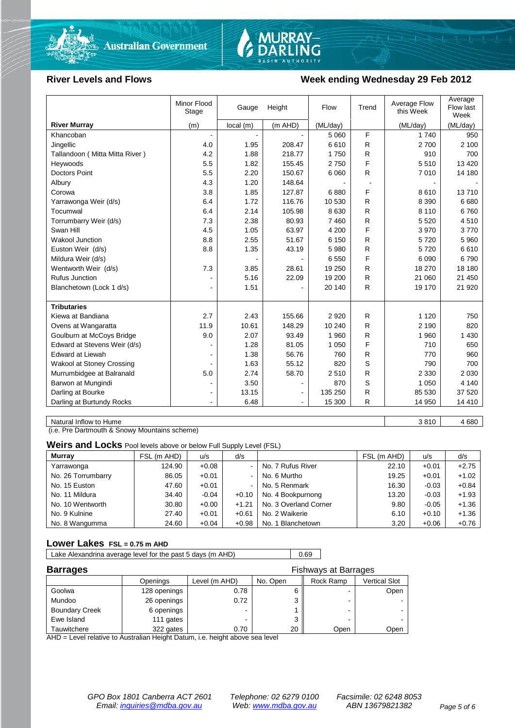



# River Levels and Flows **Week ending Wednesday 29 Feb 2012**

|                                  | Minor Flood<br>Stage     | Gauge    | Height         | Flow     | Trend        | Average Flow<br>this Week | Average<br>Flow last<br>Week |
|----------------------------------|--------------------------|----------|----------------|----------|--------------|---------------------------|------------------------------|
| <b>River Murray</b>              | (m)                      | local(m) | (m AHD)        | (ML/day) |              | (ML/day)                  | (ML/day)                     |
| Khancoban                        |                          |          |                | 5 0 6 0  | F            | 1 7 4 0                   | 950                          |
| Jingellic                        | 4.0                      | 1.95     | 208.47         | 6610     | R            | 2700                      | 2 100                        |
| Tallandoon (Mitta Mitta River)   | 4.2                      | 1.88     | 218.77         | 1750     | R            | 910                       | 700                          |
| Heywoods                         | 5.5                      | 1.82     | 155.45         | 2750     | F            | 5510                      | 13 4 20                      |
| <b>Doctors Point</b>             | 5.5                      | 2.20     | 150.67         | 6 0 6 0  | R            | 7010                      | 14 180                       |
| Albury                           | 4.3                      | 1.20     | 148.64         |          |              |                           |                              |
| Corowa                           | 3.8                      | 1.85     | 127.87         | 6880     | F            | 8610                      | 13710                        |
| Yarrawonga Weir (d/s)            | 6.4                      | 1.72     | 116.76         | 10 530   | R            | 8 3 9 0                   | 6680                         |
| Tocumwal                         | 6.4                      | 2.14     | 105.98         | 8 6 3 0  | R            | 8 1 1 0                   | 6760                         |
| Torrumbarry Weir (d/s)           | 7.3                      | 2.38     | 80.93          | 7 4 6 0  | R            | 5 5 20                    | 4510                         |
| Swan Hill                        | 4.5                      | 1.05     | 63.97          | 4 200    | F            | 3970                      | 3770                         |
| Wakool Junction                  | 8.8                      | 2.55     | 51.67          | 6 150    | R            | 5720                      | 5 9 6 0                      |
| Euston Weir (d/s)                | 8.8                      | 1.35     | 43.19          | 5 9 8 0  | R            | 5720                      | 6610                         |
| Mildura Weir (d/s)               |                          |          |                | 6 5 5 0  | F            | 6 0 9 0                   | 6790                         |
| Wentworth Weir (d/s)             | 7.3                      | 3.85     | 28.61          | 19 250   | R            | 18 270                    | 18 180                       |
| Rufus Junction                   |                          | 5.16     | 22.09          | 19 200   | R            | 21 060                    | 21 450                       |
| Blanchetown (Lock 1 d/s)         | $\blacksquare$           | 1.51     |                | 20 140   | R            | 19 170                    | 21 920                       |
| <b>Tributaries</b>               |                          |          |                |          |              |                           |                              |
| Kiewa at Bandiana                | 2.7                      | 2.43     | 155.66         | 2920     | R            | 1 1 2 0                   | 750                          |
| Ovens at Wangaratta              | 11.9                     | 10.61    | 148.29         | 10 240   | R            | 2 1 9 0                   | 820                          |
| Goulburn at McCoys Bridge        | 9.0                      | 2.07     | 93.49          | 1 960    | R            | 1 960                     | 1 4 3 0                      |
| Edward at Stevens Weir (d/s)     |                          | 1.28     | 81.05          | 1 0 5 0  | F            | 710                       | 650                          |
| <b>Edward at Liewah</b>          |                          | 1.38     | 56.76          | 760      | R            | 770                       | 960                          |
| <b>Wakool at Stoney Crossing</b> | $\overline{\phantom{a}}$ | 1.63     | 55.12          | 820      | S            | 790                       | 700                          |
| Murrumbidgee at Balranald        | 5.0                      | 2.74     | 58.70          | 2510     | R            | 2 3 3 0                   | 2 0 3 0                      |
| Barwon at Mungindi               | $\blacksquare$           | 3.50     | $\blacksquare$ | 870      | S            | 1 0 5 0                   | 4 1 4 0                      |
| Darling at Bourke                | $\blacksquare$           | 13.15    |                | 135 250  | R            | 85 530                    | 37 520                       |
| Darling at Burtundy Rocks        |                          | 6.48     | $\blacksquare$ | 15 300   | $\mathsf{R}$ | 14 950                    | 14 4 10                      |

Natural Inflow to Hume 3 810 | 4680

(i.e. Pre Dartmouth & Snowy Mountains scheme)

**Weirs and Locks** Pool levels above or below Full Supply Level (FSL)

| <b>Murray</b>      | FSL (m AHD) | u/s     | d/s     |                       | FSL (m AHD) | u/s     | d/s     |
|--------------------|-------------|---------|---------|-----------------------|-------------|---------|---------|
| Yarrawonga         | 124.90      | $+0.08$ | $\sim$  | No. 7 Rufus River     | 22.10       | $+0.01$ | $+2.75$ |
| No. 26 Torrumbarry | 86.05       | $+0.01$ | $\sim$  | No. 6 Murtho          | 19.25       | $+0.01$ | $+1.02$ |
| No. 15 Euston      | 47.60       | $+0.01$ | $\sim$  | No. 5 Renmark         | 16.30       | $-0.03$ | $+0.84$ |
| No. 11 Mildura     | 34.40       | $-0.04$ | $+0.10$ | No. 4 Bookpurnong     | 13.20       | $-0.03$ | $+1.93$ |
| No. 10 Wentworth   | 30.80       | $+0.00$ | $+1.21$ | No. 3 Overland Corner | 9.80        | $-0.05$ | $+1.36$ |
| No. 9 Kulnine      | 27.40       | $+0.01$ | $+0.61$ | No. 2 Waikerie        | 6.10        | $+0.10$ | $+1.36$ |
| No. 8 Wangumma     | 24.60       | $+0.04$ | $+0.98$ | No. 1 Blanchetown     | 3.20        | $+0.06$ | $+0.76$ |

### **Lower Lakes FSL = 0.75 m AHD**

Lake Alexandrina average level for the past 5 days (m AHD) 0.69

| <b>Barrages</b>       |              |               | <b>Fishways at Barrages</b> |                          |               |  |
|-----------------------|--------------|---------------|-----------------------------|--------------------------|---------------|--|
|                       | Openings     | Level (m AHD) | No. Open                    | Rock Ramp                | Vertical Slot |  |
| Goolwa                | 128 openings | 0.78          |                             | $\overline{\phantom{0}}$ | Open          |  |
| Mundoo                | 26 openings  | 0.72          |                             | -                        |               |  |
| <b>Boundary Creek</b> | 6 openings   |               |                             | -                        |               |  |
| Ewe Island            | 111 gates    |               |                             |                          |               |  |
| Tauwitchere           | 322 gates    | 0.70          | 20                          | Open                     | Open          |  |

AHD = Level relative to Australian Height Datum, i.e. height above sea level